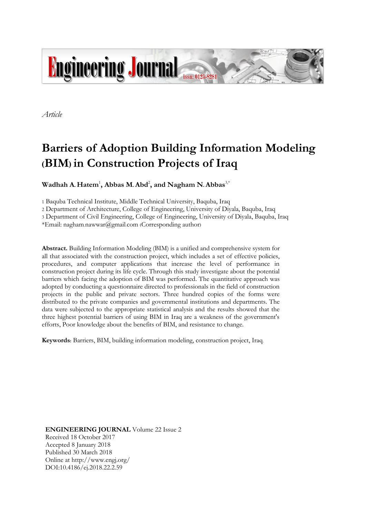

*Article*

# **Barriers of Adoption Building Information Modeling (BIM) in Construction Projects of Iraq**

**Wadhah A. Hatem**<sup>1</sup> **, Abbas M. Abd**<sup>2</sup> **, and Nagham N. Abbas**3,\*

1 Baquba Technical Institute, Middle Technical University, Baquba, Iraq

2 Department of Architecture, College of Engineering, University of Diyala, Baquba, Iraq

3 Department of Civil Engineering, College of Engineering, University of Diyala, Baquba, Iraq

\*Email: nagham.nawwar@gmail.com (Corresponding author)

**Abstract.** Building Information Modeling (BIM) is a unified and comprehensive system for all that associated with the construction project, which includes a set of effective policies, procedures, and computer applications that increase the level of performance in construction project during its life cycle. Through this study investigate about the potential barriers which facing the adoption of BIM was performed. The quantitative approach was adopted by conducting a questionnaire directed to professionals in the field of construction projects in the public and private sectors. Three hundred copies of the forms were distributed to the private companies and governmental institutions and departments. The data were subjected to the appropriate statistical analysis and the results showed that the three highest potential barriers of using BIM in Iraq are a weakness of the government's efforts, Poor knowledge about the benefits of BIM, and resistance to change.

**Keywords:** Barriers, BIM, building information modeling, construction project, Iraq.

**ENGINEERING JOURNAL** Volume 22 Issue 2 Received 18 October 2017 Accepted 8 January 2018 Published 30 March 2018 Online at http://www.engj.org/ DOI:10.4186/ej.2018.22.2.59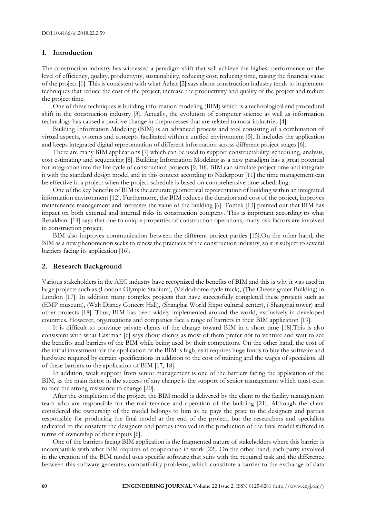#### **1. Introduction**

The construction industry has witnessed a paradigm shift that will achieve the highest performance on the level of efficiency, quality, productivity, sustainability, reducing cost, reducing time, raising the financial value of the project [1]. This is consistent with what Azhar [2] says about construction industry tends to implement techniques that reduce the cost of the project, increase the productivity and quality of the project and reduce the project time.

One of these techniques is building information modeling (BIM) which is a technological and procedural shift in the construction industry [3]. Actually, the evolution of computer science as well as information technology has caused a positive change in theprocesses that are related to most industries [4].

Building Information Modeling (BIM) is an advanced process and tool consisting of a combination of virtual aspects, systems and concepts facilitated within a unified environment [5]. It includes the application and keeps integrated digital representation of different information across different project stages [6].

There are many BIM applications [7] which can be used to support constructability, scheduling, analysis, cost estimating and sequencing [8]. Building Information Modeling as a new paradigm has a great potential for integration into the life cycle of construction projects [9, 10]. BIM can simulate project time and integrate it with the standard design model and in this context according to Naderpour [11] the time management can be effective in a project when the project schedule is based on comprehensive time scheduling.

One of the key benefits of BIM is the accurate geometrical representation of building within an integrated information environment [12]. Furthermore, the BIM reduces the duration and cost of the project, improves maintenance management and increases the value of the building [6]. Tomek [13] pointed out that BIM has impact on both external and internal risks in construction compeny. This is important according to what Rezakhani [14] says that due to unique properties of construction operations, many risk factors are involved in construction project.

BIM also improves communication between the different project parties [15].On the other hand, the BIM as a new phenomenon seeks to renew the practices of the construction industry, so it is subject to several barriers facing its application [16].

#### **2. Research Background**

Various stakeholders in the AEC industry have recognized the benefits of BIM and this is why it was used in large projects such as (London Olympic Stadium), (Veldodrome cycle track), (The Cheese grater Building) in London [17]. In addition many complex projects that have successfully completed these projects such as (EMP museum), (Walt Disney Concert Hall), (Shanghai World Expo cultural center), ( Shanghai tower) and other projects [18]. Thus, BIM has been widely implemented around the world, exclusively in developed countries. However, organizations and companies face a range of barriers in their BIM application [19].

It is difficult to convince private clients of the change toward BIM in a short time [18].This is also consistent with what Eastman [6] says about clients as most of them prefer not to venture and wait to see the benefits and barriers of the BIM while being used by their competitors. On the other hand, the cost of the initial investment for the application of the BIM is high, as it requires huge funds to buy the software and hardware required by certain specifications in addition to the cost of training and the wages of specialists, all of these barriers to the application of BIM [17, 18].

In addition, weak support from senior management is one of the barriers facing the application of the BIM, as the main factor in the success of any change is the support of senior management which must exist to face the strong resistance to change [20].

After the completion of the project, the BIM model is delivered by the client to the facility management team who are responsible for the maintenance and operation of the building [21]. Although the client considered the ownership of the model belongs to him as he pays the price to the designers and parties responsible for producing the final model at the end of the project, but the researchers and specialists indicated to the unsafety the designers and parties involved in the production of the final model suffered in terms of ownership of their inputs [6].

One of the barriers facing BIM application is the fragmented nature of stakeholders where this barrier is incompatible with what BIM requires of cooperation in work [22]. On the other hand, each party involved in the creation of the BIM model uses specific software that suits with the required task and the difference between this software generates compatibility problems, which constitute a barrier to the exchange of data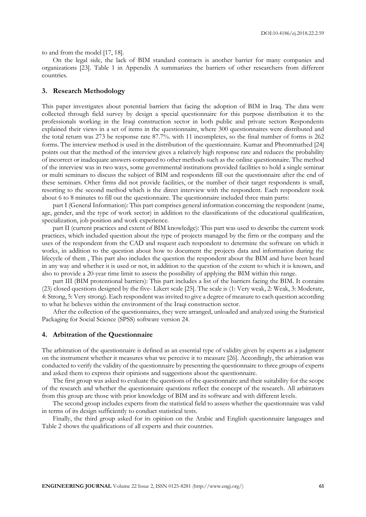to and from the model [17, 18].

On the legal side, the lack of BIM standard contracts is another barrier for many companies and organizations [23]. Table 1 in Appendix A summarizes the barriers of other researchers from different countries.

#### **3. Research Methodology**

This paper investigates about potential barriers that facing the adoption of BIM in Iraq. The data were collected through field survey by design a special questionnaire for this purpose distribution it to the professionals working in the Iraqi construction sector in both public and private sectors Respondents explained their views in a set of items in the questionnaire, where 300 questionnaires were distributed and the total return was 273 be response rate 87.7%. with 11 incompletes, so the final number of forms is 262 forms. The interview method is used in the distribution of the questionnaire. Kumar and Phrommathed [24] points out that the method of the interview gives a relatively high response rate and reduces the probability of incorrect or inadequate answers compared to other methods such as the online questionnaire. The method of the interview was in two ways, some governmental institutions provided facilities to hold a single seminar or multi seminars to discuss the subject of BIM and respondents fill out the questionnaire after the end of these seminars. Other firms did not provide facilities, or the number of their target respondents is small, resorting to the second method which is the direct interview with the respondent. Each respondent took about 6 to 8 minutes to fill out the questionnaire. The questionnaire included three main parts:

part I (General Information): This part comprises general information concerning the respondent (name, age, gender, and the type of work sector) in addition to the classifications of the educational qualification, specialization, job position and work experience.

part II (current practices and extent of BIM knowledge): This part was used to describe the current work practices, which included question about the type of projects managed by the firm or the company and the uses of the respondent from the CAD and request each respondent to determine the software on which it works, in addition to the question about how to document the projects data and information during the lifecycle of them , This part also includes the question the respondent about the BIM and have been heard in any way and whether it is used or not, in addition to the question of the extent to which it is known, and also to provide a 20-year time limit to assess the possibility of applying the BIM within this range.

part III (BIM protentional barriers): This part includes a list of the barriers facing the BIM. It contains (23) closed questions designed by the five- Likert scale [25]. The scale is (1: Very weak, 2: Weak, 3: Moderate, 4: Strong, 5: Very strong). Each respondent was invited to give a degree of measure to each question according to what he believes within the environment of the Iraqi construction sector.

After the collection of the questionnaires, they were arranged, unloaded and analyzed using the Statistical Packaging for Social Science (SPSS) software version 24.

#### **4. Arbitration of the Questionnaire**

The arbitration of the questionnaire is defined as an essential type of validity given by experts as a judgment on the instrument whether it measures what we perceive it to measure [26]. Accordingly, the arbitration was conducted to verify the validity of the questionnaire by presenting the questionnaire to three groups of experts and asked them to express their opinions and suggestions about the questionnaire.

The first group was asked to evaluate the questions of the questionnaire and their suitability for the scope of the research and whether the questionnaire questions reflect the concept of the research. All arbitrators from this group are those with prior knowledge of BIM and its software and with different levels.

The second group includes experts from the statistical field to assess whether the questionnaire was valid in terms of its design sufficiently to conduct statistical tests.

Finally, the third group asked for its opinion on the Arabic and English questionnaire languages and Table 2 shows the qualifications of all experts and their countries.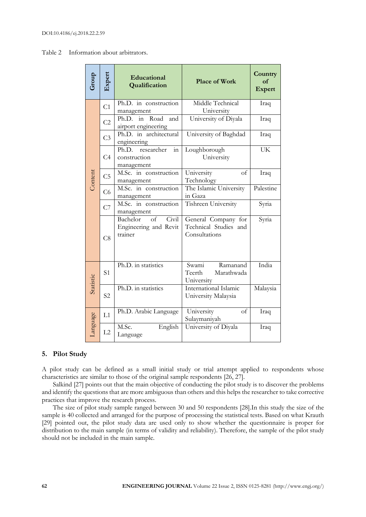| Group     | Expert         | Educational<br>Qualification                                             | <b>Place of Work</b>                                          | Country<br>of<br><b>Expert</b> |
|-----------|----------------|--------------------------------------------------------------------------|---------------------------------------------------------------|--------------------------------|
|           | C <sub>1</sub> | Ph.D. in construction<br>management                                      | Middle Technical<br>University                                | Iraq                           |
|           | C <sub>2</sub> | Road<br>Ph.D. in<br>and<br>airport engineering                           | University of Diyala                                          | Iraq                           |
|           | C <sub>3</sub> | Ph.D. in architectural<br>engineering                                    | University of Baghdad                                         | Iraq                           |
| Content   | C <sub>4</sub> | Ph.D.<br>researcher<br>$\operatorname{in}$<br>construction<br>management | Loughborough<br>University                                    | <b>UK</b>                      |
|           | C <sub>5</sub> | M.Sc. in construction<br>management                                      | University<br>$\alpha$ f<br>Technology                        | Iraq                           |
|           | C <sub>6</sub> | $\overline{\text{M.S}}$ c. in construction<br>management                 | The Islamic University<br>in Gaza                             | Palestine                      |
|           | C7             | M.Sc. in construction<br>management                                      | Tishreen University                                           | Syria                          |
|           | C8             | Bachelor<br>of<br>Civil<br>Engineering and Revit<br>trainer              | General Company for<br>Technical Studies and<br>Consultations | Syria                          |
| Statistic | S <sub>1</sub> | Ph.D. in statistics                                                      | Swami<br>Ramanand<br>Teerth<br>Marathwada<br>University       | India                          |
|           | S <sub>2</sub> | Ph.D. in statistics                                                      | International Islamic<br>University Malaysia                  | Malaysia                       |
| Language  | L1             | Ph.D. Arabic Language                                                    | University<br>of<br>Sulaymaniyah                              | Iraq                           |
|           | L2             | M.Sc.<br>English<br>Language                                             | University of Diyala                                          | Iraq                           |

# **5. Pilot Study**

A pilot study can be defined as a small initial study or trial attempt applied to respondents whose characteristics are similar to those of the original sample respondents [26, 27].

Salkind [27] points out that the main objective of conducting the pilot study is to discover the problems and identify the questions that are more ambiguous than others and this helps the researcher to take corrective practices that improve the research process.

The size of pilot study sample ranged between 30 and 50 respondents [28].In this study the size of the sample is 40 collected and arranged for the purpose of processing the statistical tests. Based on what Krauth [29] pointed out, the pilot study data are used only to show whether the questionnaire is proper for distribution to the main sample (in terms of validity and reliability). Therefore, the sample of the pilot study should not be included in the main sample.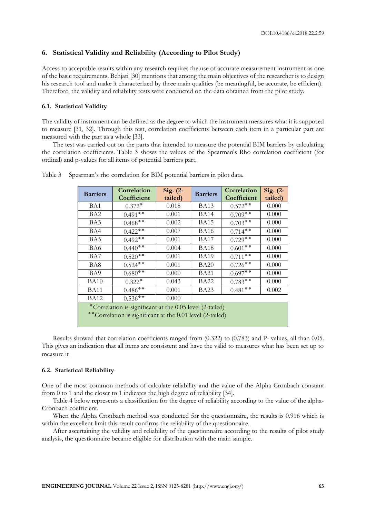# **6. Statistical Validity and Reliability (According to Pilot Study)**

Access to acceptable results within any research requires the use of accurate measurement instrument as one of the basic requirements. Behjati [30] mentions that among the main objectives of the researcher is to design his research tool and make it characterized by three main qualities (be meaningful, be accurate, be efficient). Therefore, the validity and reliability tests were conducted on the data obtained from the pilot study.

#### **6.1. Statistical Validity**

The validity of instrument can be defined as the degree to which the instrument measures what it is supposed to measure [31, 32]. Through this test, correlation coefficients between each item in a particular part are measured with the part as a whole [33].

The test was carried out on the parts that intended to measure the potential BIM barriers by calculating the correlation coefficients. Table 3 shows the values of the Spearman's Rho correlation coefficient (for ordinal) and p-values for all items of potential barriers part.

| <b>Barriers</b>                                                                                                       | Correlation<br>Coefficient | Sig. $(2-$<br>tailed) | <b>Barriers</b> | Correlation<br>Coefficient | Sig. $(2-$<br>tailed) |
|-----------------------------------------------------------------------------------------------------------------------|----------------------------|-----------------------|-----------------|----------------------------|-----------------------|
| BA1                                                                                                                   | $0.372*$                   | 0.018                 | <b>BA13</b>     | $0.572**$                  | 0.000                 |
| BA2                                                                                                                   | $0.491**$                  | 0.001                 | <b>BA14</b>     | $0.709**$                  | 0.000                 |
| BA3                                                                                                                   | $0.468**$                  | 0.002                 | <b>BA15</b>     | $0.703**$                  | 0.000                 |
| BA4                                                                                                                   | $0.422**$                  | 0.007                 | BA16            | $0.714**$                  | 0.000                 |
| BA5                                                                                                                   | $0.492**$                  | 0.001                 | <b>BA17</b>     | $0.729**$                  | 0.000                 |
| BA6                                                                                                                   | $0.440**$                  | 0.004                 | <b>BA18</b>     | $0.601**$                  | 0.000                 |
| BA7                                                                                                                   | $0.520**$                  | 0.001                 | <b>BA19</b>     | $0.711**$                  | 0.000                 |
| BA8                                                                                                                   | $0.524**$                  | 0.001                 | <b>BA20</b>     | $0.726**$                  | 0.000                 |
| BA9                                                                                                                   | $0.680**$                  | 0.000                 | BA21            | $0.697**$                  | 0.000                 |
| <b>BA10</b>                                                                                                           | $0.322*$                   | 0.043                 | BA22            | $0.783**$                  | 0.000                 |
| <b>BA11</b>                                                                                                           | $0.486**$                  | 0.001                 | <b>BA23</b>     | $0.481**$                  | 0.002                 |
| <b>BA12</b>                                                                                                           | $0.536**$                  | 0.000                 |                 |                            |                       |
| *Correlation is significant at the 0.05 level (2-tailed)<br>**Correlation is significant at the 0.01 level (2-tailed) |                            |                       |                 |                            |                       |

Table 3 Spearman's rho correlation for BIM potential barriers in pilot data.

Results showed that correlation coefficients ranged from (0.322) to (0.783) and P- values, all than 0.05. This gives an indication that all items are consistent and have the valid to measures what has been set up to measure it.

#### **6.2. Statistical Reliability**

One of the most common methods of calculate reliability and the value of the Alpha Cronbach constant from 0 to 1 and the closer to 1 indicates the high degree of reliability [34].

Table 4 below represents a classification for the degree of reliability according to the value of the alpha-Cronbach coefficient.

When the Alpha Cronbach method was conducted for the questionnaire, the results is 0.916 which is within the excellent limit this result confirms the reliability of the questionnaire.

After ascertaining the validity and reliability of the questionnaire according to the results of pilot study analysis, the questionnaire became eligible for distribution with the main sample.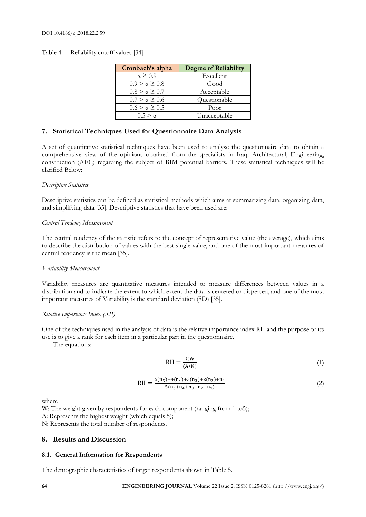Table 4. Reliability cutoff values [34].

| Cronbach's alpha        | <b>Degree of Reliability</b> |
|-------------------------|------------------------------|
| $\alpha \geq 0.9$       | Excellent                    |
| $0.9 > \alpha \geq 0.8$ | Good                         |
| $0.8 > \alpha > 0.7$    | Acceptable                   |
| $0.7 > \alpha \ge 0.6$  | Questionable                 |
| $0.6 > \alpha > 0.5$    | Poor                         |
| $0.5 > \alpha$          | Unacceptable                 |

# **7. Statistical Techniques Used for Questionnaire Data Analysis**

A set of quantitative statistical techniques have been used to analyse the questionnaire data to obtain a comprehensive view of the opinions obtained from the specialists in Iraqi Architectural, Engineering, construction (AEC) regarding the subject of BIM potential barriers. These statistical techniques will be clarified Below:

# *Descriptive Statistics*

Descriptive statistics can be defined as statistical methods which aims at summarizing data, organizing data, and simplifying data [35]. Descriptive statistics that have been used are:

#### *Central Tendency Measurement*

The central tendency of the statistic refers to the concept of representative value (the average), which aims to describe the distribution of values with the best single value, and one of the most important measures of central tendency is the mean [35].

# *Variability Measurement*

Variability measures are quantitative measures intended to measure differences between values in a distribution and to indicate the extent to which extent the data is centered or dispersed, and one of the most important measures of Variability is the standard deviation (SD) [35].

# *Relative Importance Index (RII)*

One of the techniques used in the analysis of data is the relative importance index RII and the purpose of its use is to give a rank for each item in a particular part in the questionnaire.

The equations:

$$
RII = \frac{\Sigma W}{(A*N)}
$$
 (1)

$$
RII = \frac{5(n_5) + 4(n_4) + 3(n_3) + 2(n_2) + n_1}{5(n_5 + n_4 + n_3 + n_2 + n_1)}
$$
(2)

where

W: The weight given by respondents for each component (ranging from 1 to5);

A: Represents the highest weight (which equals 5);

N: Represents the total number of respondents.

# **8. Results and Discussion**

# **8.1. General Information for Respondents**

The demographic characteristics of target respondents shown in Table 5.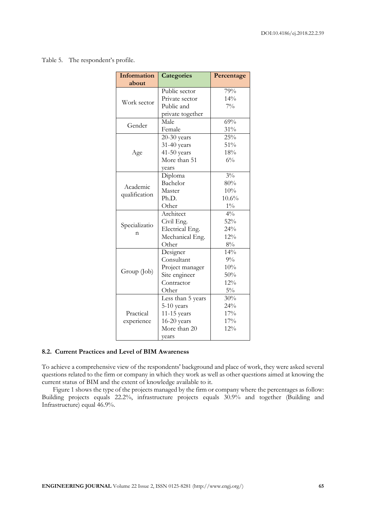Table 5. The respondent's profile.

| <b>Information</b> | <b>Categories</b> | Percentage     |  |
|--------------------|-------------------|----------------|--|
| about              |                   |                |  |
|                    | Public sector     | 79%            |  |
| Work sector        | Private sector    | $14\%$         |  |
|                    | Public and        | $7\%$          |  |
|                    | private together  |                |  |
| Gender             | Male              | 69%            |  |
|                    | Female            | $31\%$         |  |
|                    | $20-30$ years     | 25%            |  |
|                    | 31-40 years       | 51%            |  |
| Age                | $41-50$ years     | 18%            |  |
|                    | More than 51      | $6\%$          |  |
|                    | vears             |                |  |
|                    | Diploma           | $3\%$          |  |
| Academic           | Bachelor          | 80%            |  |
|                    | Master            | 10%            |  |
| qualification      | Ph.D.             | 10.6%          |  |
|                    | Other             | $1\%$          |  |
|                    | Architect         | $4\frac{0}{0}$ |  |
|                    | Civil Eng.        | 52%            |  |
| Specializatio      | Electrical Eng.   | 24%            |  |
| n                  | Mechanical Eng.   | 12%            |  |
|                    | Other             | 8%             |  |
|                    | Designer          | 14%            |  |
|                    | Consultant        | $9\%$          |  |
| Group (Job)        | Project manager   | 10%            |  |
|                    | Site engineer     | 50%            |  |
|                    | Contractor        | 12%            |  |
|                    | Other             | $5\%$          |  |
|                    | Less than 5 years | 30%            |  |
|                    | $5-10$ years      | 24%            |  |
| Practical          | 11-15 years       | 17%            |  |
| experience         | $16-20$ years     | 17%            |  |
|                    | More than 20      | 12%            |  |
|                    | years             |                |  |

#### **8.2. Current Practices and Level of BIM Awareness**

To achieve a comprehensive view of the respondents' background and place of work, they were asked several questions related to the firm or company in which they work as well as other questions aimed at knowing the current status of BIM and the extent of knowledge available to it.

Figure 1 shows the type of the projects managed by the firm or company where the percentages as follow: Building projects equals 22.2%, infrastructure projects equals 30.9% and together (Building and Infrastructure) equal 46.9%.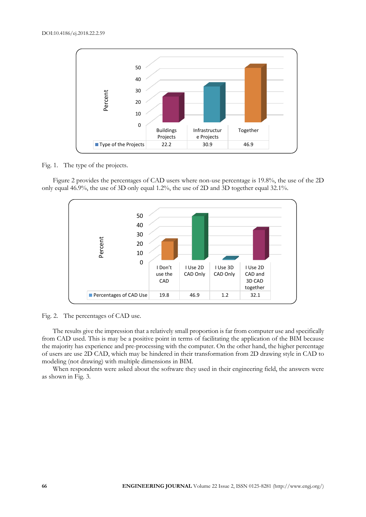

Fig. 1. The type of the projects.

Figure 2 provides the percentages of CAD users where non-use percentage is 19.8%, the use of the 2D only equal 46.9%, the use of 3D only equal 1.2%, the use of 2D and 3D together equal 32.1%.



Fig. 2. The percentages of CAD use.

The results give the impression that a relatively small proportion is far from computer use and specifically from CAD used. This is may be a positive point in terms of facilitating the application of the BIM because the majority has experience and pre-processing with the computer. On the other hand, the higher percentage of users are use 2D CAD, which may be hindered in their transformation from 2D drawing style in CAD to modeling (not drawing) with multiple dimensions in BIM.

When respondents were asked about the software they used in their engineering field, the answers were as shown in Fig. 3.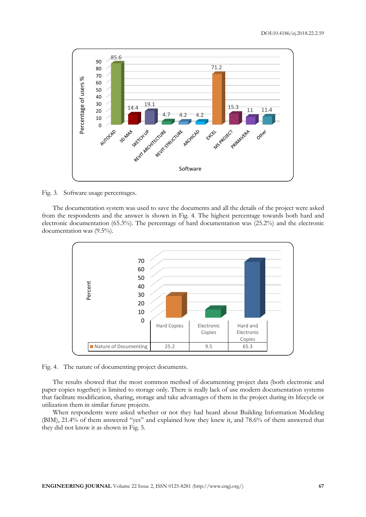

Fig. 3. Software usage percentages.

The documentation system was used to save the documents and all the details of the project were asked from the respondents and the answer is shown in Fig. 4. The highest percentage towards both hard and electronic documentation (65.3%). The percentage of hard documentation was (25.2%) and the electronic documentation was (9.5%).



Fig. 4. The nature of documenting project documents.

The results showed that the most common method of documenting project data (both electronic and paper copies together) is limited to storage only. There is really lack of use modern documentation systems that facilitate modification, sharing, storage and take advantages of them in the project during its lifecycle or utilization them in similar future projects.

When respondents were asked whether or not they had heard about Building Information Modeling (BIM), 21.4% of them answered "yes" and explained how they knew it, and 78.6% of them answered that they did not know it as shown in Fig. 5.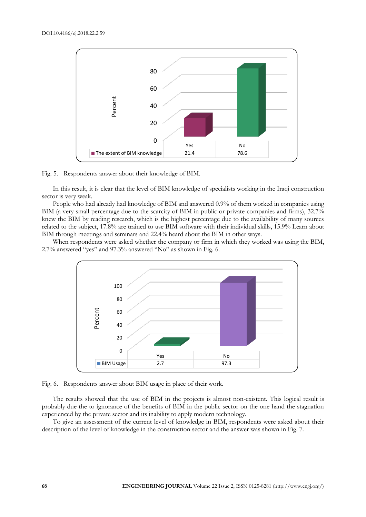



In this result, it is clear that the level of BIM knowledge of specialists working in the Iraqi construction sector is very weak.

People who had already had knowledge of BIM and answered 0.9% of them worked in companies using BIM (a very small percentage due to the scarcity of BIM in public or private companies and firms), 32.7% knew the BIM by reading research, which is the highest percentage due to the availability of many sources related to the subject, 17.8% are trained to use BIM software with their individual skills, 15.9% Learn about BIM through meetings and seminars and 22.4% heard about the BIM in other ways.

When respondents were asked whether the company or firm in which they worked was using the BIM, 2.7% answered "yes" and 97.3% answered "No" as shown in Fig. 6.



Fig. 6. Respondents answer about BIM usage in place of their work.

The results showed that the use of BIM in the projects is almost non-existent. This logical result is probably due the to ignorance of the benefits of BIM in the public sector on the one hand the stagnation experienced by the private sector and its inability to apply modern technology.

To give an assessment of the current level of knowledge in BIM, respondents were asked about their description of the level of knowledge in the construction sector and the answer was shown in Fig. 7.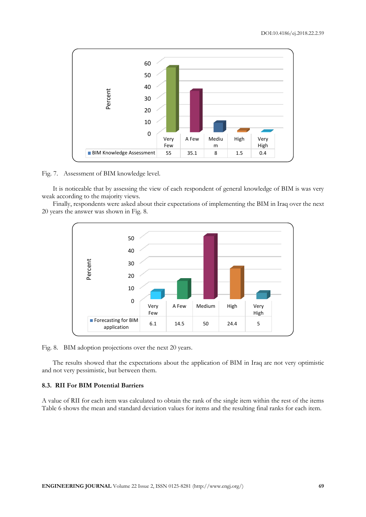

Fig. 7. Assessment of BIM knowledge level.

It is noticeable that by assessing the view of each respondent of general knowledge of BIM is was very weak according to the majority views.

Finally, respondents were asked about their expectations of implementing the BIM in Iraq over the next 20 years the answer was shown in Fig. 8.



Fig. 8. BIM adoption projections over the next 20 years.

The results showed that the expectations about the application of BIM in Iraq are not very optimistic and not very pessimistic, but between them.

#### **8.3. RII For BIM Potential Barriers**

A value of RII for each item was calculated to obtain the rank of the single item within the rest of the items Table 6 shows the mean and standard deviation values for items and the resulting final ranks for each item.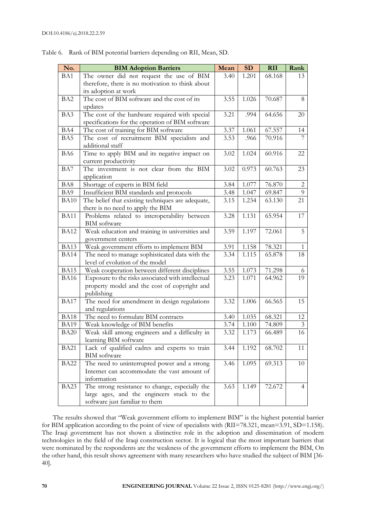| No.             | <b>BIM Adoption Barriers</b>                                                                | Mean | SD    | <b>RII</b> | Rank           |
|-----------------|---------------------------------------------------------------------------------------------|------|-------|------------|----------------|
| BA1             | The owner did not request the use of BIM                                                    | 3.40 | 1.201 | 68.168     | 13             |
|                 | therefore, there is no motivation to think about                                            |      |       |            |                |
|                 | its adoption at work                                                                        |      |       |            |                |
| BA <sub>2</sub> | The cost of BIM software and the cost of its                                                | 3.55 | 1.026 | 70.687     | 8              |
|                 | updates                                                                                     |      |       |            |                |
| BA3             | The cost of the hardware required with special                                              | 3.21 | .994  | 64.656     | 20             |
|                 | specifications for the operation of BIM software                                            |      |       |            |                |
| BA4             | The cost of training for BIM software                                                       | 3.37 | 1.061 | 67.557     | 14             |
| BA5             | The cost of recruitment BIM specialists and                                                 | 3.53 | .966  | 70.916     |                |
|                 | additional staff                                                                            |      |       |            |                |
| BA6             | Time to apply BIM and its negative impact on                                                | 3.02 | 1.024 | 60.916     | 22             |
|                 | current productivity                                                                        |      |       |            |                |
| BA7             | The investment is not clear from the BIM                                                    | 3.02 | 0.973 | 60.763     | 23             |
|                 | application                                                                                 |      |       |            |                |
| BA8             | Shortage of experts in BIM field                                                            | 3.84 | 1.077 | 76.870     | $\overline{c}$ |
| BA9             | Insufficient BIM standards and protocols                                                    | 3.48 | 1.047 | 69.847     | 9              |
| <b>BA10</b>     | The belief that existing techniques are adequate,                                           | 3.15 | 1.234 | 63.130     | 21             |
|                 | there is no need to apply the BIM                                                           |      |       |            |                |
| <b>BA11</b>     | Problems related to interoperability between                                                | 3.28 | 1.131 | 65.954     | 17             |
|                 | <b>BIM</b> software                                                                         |      |       |            |                |
| <b>BA12</b>     | Weak education and training in universities and                                             | 3.59 | 1.197 | 72.061     | 5              |
|                 | government centers                                                                          |      |       |            |                |
| <b>BA13</b>     | Weak government efforts to implement BIM                                                    | 3.91 | 1.158 | 78.321     | 1              |
| <b>BA14</b>     | The need to manage sophisticated data with the                                              | 3.34 | 1.115 | 65.878     | 18             |
|                 | level of evolution of the model                                                             |      |       |            |                |
| <b>BA15</b>     | Weak cooperation between different disciplines                                              | 3.55 | 1.073 | 71.298     | 6              |
| <b>BA16</b>     | Exposure to the risks associated with intellectual                                          | 3.23 | 1.071 | 64.962     | 19             |
|                 | property model and the cost of copyright and                                                |      |       |            |                |
|                 | publishing                                                                                  |      |       |            |                |
| <b>BA17</b>     | The need for amendment in design regulations                                                | 3.32 | 1.006 | 66.565     | 15             |
|                 | and regulations                                                                             |      |       |            |                |
| <b>BA18</b>     | The need to formulate BIM contracts                                                         | 3.40 | 1.035 | 68.321     | 12             |
| <b>BA19</b>     | Weak knowledge of BIM benefits                                                              | 3.74 | 1.100 | 74.809     | $\mathfrak{Z}$ |
| <b>BA20</b>     | Weak skill among engineers and a difficulty in                                              | 3.32 | 1.173 | 66.489     | 16             |
|                 | learning BIM software                                                                       |      |       |            |                |
| <b>BA21</b>     | Lack of qualified cadres and experts to train<br><b>BIM</b> software                        | 3.44 | 1.192 | 68.702     | 11             |
|                 |                                                                                             |      |       | 69.313     |                |
| BA22            | The need to uninterrupted power and a strong<br>Internet can accommodate the vast amount of | 3.46 | 1.095 |            | 10             |
|                 | information                                                                                 |      |       |            |                |
| BA23            | The strong resistance to change, especially the                                             | 3.63 | 1.149 | 72.672     | $\overline{4}$ |
|                 | large ages, and the engineers stuck to the                                                  |      |       |            |                |
|                 | software just familiar to them                                                              |      |       |            |                |
|                 |                                                                                             |      |       |            |                |

Table 6. Rank of BIM potential barriers depending on RII, Mean, SD.

The results showed that "Weak government efforts to implement BIM" is the highest potential barrier for BIM application according to the point of view of specialists with (RII=78.321, mean=3.91, SD=1.158). The Iraqi government has not shown a distinctive role in the adoption and dissemination of modern technologies in the field of the Iraqi construction sector. It is logical that the most important barriers that were nominated by the respondents are the weakness of the government efforts to implement the BIM, On the other hand, this result shows agreement with many researchers who have studied the subject of BIM [36- 40].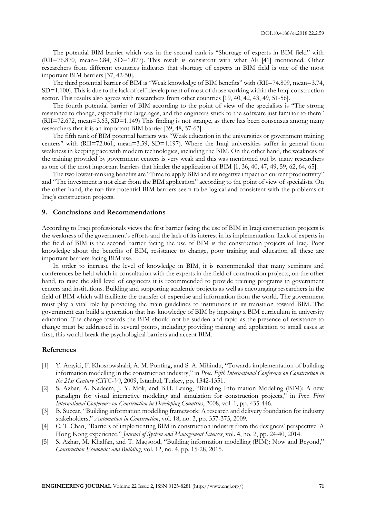The potential BIM barrier which was in the second rank is "Shortage of experts in BIM field" with (RII=76.870, mean=3.84, SD=1.077). This result is consistent with what Ali [41] mentioned. Other researchers from different countries indicates that shortage of experts in BIM field is one of the most important BIM barriers [37, 42-50].

The third potential barrier of BIM is "Weak knowledge of BIM benefits" with (RII=74.809, mean=3.74, SD=1.100). This is due to the lack of self-development of most of those working within the Iraqi construction sector. This results also agrees with researchers from other countries [19, 40, 42, 43, 49, 51-56].

The fourth potential barrier of BIM according to the point of view of the specialists is "The strong resistance to change, especially the large ages, and the engineers stuck to the software just familiar to them" (RII=72.672, mean=3.63, SD=1.149) This finding is not strange, as there has been consensus among many researchers that it is an important BIM barrier [39, 48, 57-63].

The fifth rank of BIM potential barriers was "Weak education in the universities or government training centers" with (RII=72.061, mean=3.59, SD=1.197). Where the Iraqi universities suffer in general from weakness in keeping pace with modern technologies, including the BIM. On the other hand, the weakness of the training provided by government centers is very weak and this was mentioned out by many researchers as one of the most important barriers that hinder the application of BIM [1, 36, 40, 47, 49, 59, 62, 64, 65].

The two lowest-ranking benefits are "Time to apply BIM and its negative impact on current productivity" and "The investment is not clear from the BIM application" according to the point of view of specialists. On the other hand, the top five potential BIM barriers seem to be logical and consistent with the problems of Iraq's construction projects.

#### **9. Conclusions and Recommendations**

According to Iraqi professionals views the first barrier facing the use of BIM in Iraqi construction projects is the weakness of the government's efforts and the lack of its interest in its implementation. Lack of experts in the field of BIM is the second barrier facing the use of BIM is the construction projects of Iraq. Poor knowledge about the benefits of BIM, resistance to change, poor training and education all these are important barriers facing BIM use.

In order to increase the level of knowledge in BIM, it is recommended that many seminars and conferences be held which in consultation with the experts in the field of construction projects, on the other hand, to raise the skill level of engineers it is recommended to provide training programs in government centers and institutions. Building and supporting academic projects as well as encouraging researchers in the field of BIM which will facilitate the transfer of expertise and information from the world. The government must play a vital role by providing the main guidelines to institutions in its transition toward BIM. The government can build a generation that has knowledge of BIM by imposing a BIM curriculum in university education. The change towards the BIM should not be sudden and rapid as the presence of resistance to change must be addressed in several points, including providing training and application to small cases at first, this would break the psychological barriers and accept BIM.

#### **References**

- [1] Y. Arayici, F. Khosrowshahi, A. M. Ponting, and S. A. Mihindu, "Towards implementation of building information modelling in the construction industry," in *Proc. Fifth International Conference on Construction in the 21st Century (CITC-V)*, 2009, Istanbul, Turkey, pp. 1342-1351.
- [2] S. Azhar, A. Nadeem, J. Y. Mok, and B.H. Leung, "Building Information Modeling (BIM): A new paradigm for visual interactive modeling and simulation for construction projects," in *Proc. First International Conference on Construction in Developing Countries*, 2008, vol. 1, pp. 435-446.
- [3] B. Succar, "Building information modelling framework: A research and delivery foundation for industry stakeholders," *Automation in Construction*, vol. 18, no. 3, pp. 357-375, 2009.
- [4] C. T. Chan, "Barriers of implementing BIM in construction industry from the designers' perspective: A Hong Kong experience," *Journal of System and Management Sciences*, vol. **4**, no. 2, pp. 24-40, 2014.
- [5] S. Azhar, M. Khalfan, and T. Maqsood, "Building information modelling (BIM): Now and Beyond," *Construction Economics and Building*, vol. 12, no. 4, pp. 15-28, 2015.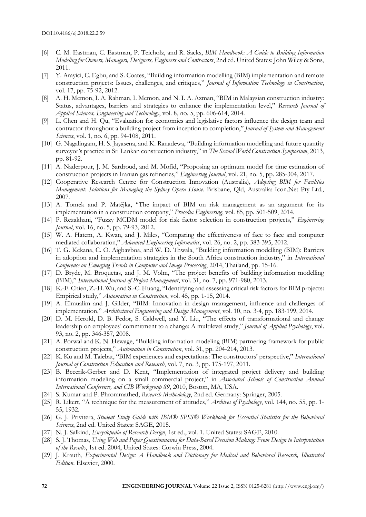- [6] C. M. Eastman, C. Eastman, P. Teicholz, and R. Sacks, *BIM Handbook: A Guide to Building Information Modeling for Owners, Managers, Designers, Engineers and Contractors*, 2nd ed. United States: John Wiley & Sons, 2011.
- [7] Y. Arayici, C. Egbu, and S. Coates, "Building information modelling (BIM) implementation and remote construction projects: Issues, challenges, and critiques," *Journal of Information Technology in Construction*, vol. 17, pp. 75-92, 2012.
- [8] A. H. Memon, I. A. Rahman, I. Memon, and N. I. A. Azman, "BIM in Malaysian construction industry: Status, advantages, barriers and strategies to enhance the implementation level," *Research Journal of Applied Sciences, Engineering and Technology*, vol. 8, no. 5, pp. 606-614, 2014.
- [9] L. Chen and H. Qu, "Evaluation for economics and legislative factors influence the design team and contractor throughout a building project from inception to completion," *Journal of System and Management Sciences*, vol. 1, no. 6, pp. 94-108, 2011.
- [10] G. Nagalingam, H. S. Jayasena, and K. Ranadewa, "Building information modelling and future quantity surveyor's practice in Sri Lankan construction industry," in *The Second World Construction Symposium*, 2013, pp. 81-92.
- [11] A. Naderpour, J. M. Sardroud, and M. Mofid, "Proposing an optimum model for time estimation of construction projects in Iranian gas refineries," *Engineering Journal*, vol. 21, no. 5, pp. 285-304, 2017.
- [12] Cooperative Research Centre for Construction Innovation (Australia), *Adopting BIM for Facilities Management: Solutions for Managing the Sydney Opera House*. Brisbane, Qld, Australia: Icon.Net Pty Ltd., 2007.
- [13] A. Tomek and P. Matějka, "The impact of BIM on risk management as an argument for its implementation in a construction company," *Procedia Engineering*, vol. 85, pp. 501-509, 2014.
- [14] P. Rezakhani, "Fuzzy MCDM model for risk factor selection in construction projects," *Engineering Journal*, vol. 16, no. 5, pp. 79-93, 2012.
- [15] W. A. Hatem, A. Kwan, and J. Miles, "Comparing the effectiveness of face to face and computer mediated collaboration," *Advanced Engineering Informatics*, vol. 26, no. 2, pp. 383-395, 2012.
- [16] T. G. Kekana, C. O. Aigbavboa, and W. D. Thwala, "Building information modelling (BIM): Barriers in adoption and implementation strategies in the South Africa construction industry," in *International Conference on Emerging Trends in Computer and Image Processing*, 2014, Thailand, pp. 15-16.
- [17] D. Bryde, M. Broquetas, and J. M. Volm, "The project benefits of building information modelling (BIM)," *International Journal of Project Management*, vol. 31, no. 7, pp. 971-980, 2013.
- [18] K.-F. Chien, Z.-H. Wu, and S.-C. Huang, "Identifying and assessing critical risk factors for BIM projects: Empirical study," *Automation in Construction*, vol. 45, pp. 1-15, 2014.
- [19] A. Elmualim and J. Gilder, "BIM: Innovation in design management, influence and challenges of implementation," *Architectural Engineering and Design Management*, vol. 10, no. 3-4, pp. 183-199, 2014.
- [20] D. M. Herold, D. B. Fedor, S. Caldwell, and Y. Liu, "The effects of transformational and change leadership on employees' commitment to a change: A multilevel study," *Journal of Applied Psychology*, vol. 93, no. 2, pp. 346-357, 2008.
- [21] A. Porwal and K. N. Hewage, "Building information modeling (BIM) partnering framework for public construction projects," *Automation in Construction*, vol. 31, pp. 204-214, 2013.
- [22] K. Ku and M. Taiebat, "BIM experiences and expectations: The constructors' perspective," *International Journal of Construction Education and Research*, vol. 7, no. 3, pp. 175-197, 2011.
- [23] B. Becerik-Gerber and D. Kent, "Implementation of integrated project delivery and building information modeling on a small commercial project," in *Associated Schools of Construction Annual International Conference, and CIB Workgroup 89*, 2010, Boston, MA, USA.
- [24] S. Kumar and P. Phrommathed, *Research Methodology*, 2nd ed. Germany: Springer, 2005.
- [25] R. Likert, "A technique for the measurement of attitudes," *Archives of Psychology*, vol. 144, no. 55, pp. 1- 55, 1932.
- [26] G. J. Privitera, *Student Study Guide with IBM® SPSS® Workbook for Essential Statistics for the Behavioral Sciences*, 2nd ed. United States: SAGE, 2015.
- [27] N. J. Salkind, *Encyclopedia of Research Design*, 1st ed., vol. 1. United States: SAGE, 2010.
- [28] S. J. Thomas, *Using Web and Paper Questionnaires for Data-Based Decision Making: From Design to Interpretation of the Results*, 1st ed. 2004, United States: Corwin Press, 2004.
- [29] J. Krauth, *Experimental Design: A Handbook and Dictionary for Medical and Behavioral Research, Illustrated Edition*. Elsevier, 2000.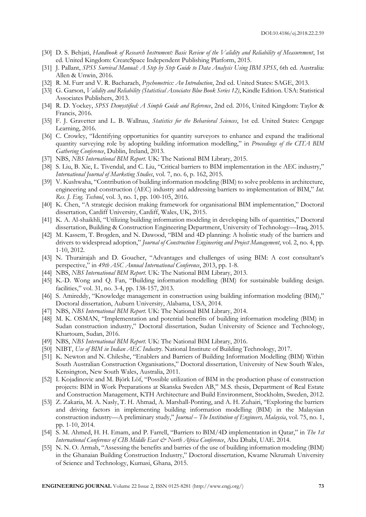- [30] D. S. Behjati, *Handbook of Research Instrument: Basic Review of the Validity and Reliability of Measurement*, 1st ed. United Kingdom: CreateSpace Independent Publishing Platform, 2015.
- [31] J. Pallant, *SPSS Survival Manual: A Step by Step Guide to Data Analysis Using IBM SPSS*, 6th ed. Australia: Allen & Unwin, 2016.
- [32] R. M. Furr and V. R. Bacharach, *Psychometrics: An Introduction*, 2nd ed. United States: SAGE, 2013.
- [33] G. Garson, *Validity and Reliability (Statistical Associates Blue Book Series 12)*, Kindle Edition. USA: Statistical Associates Publishers, 2013.
- [34] R. D. Yockey, *SPSS Demystified: A Simple Guide and Reference*, 2nd ed. 2016, United Kingdom: Taylor & Francis, 2016.
- [35] F. J. Gravetter and L. B. Wallnau, *Statistics for the Behavioral Sciences*, 1st ed. United States: Cengage Learning, 2016.
- [36] C. Crowley, "Identifying opportunities for quantity surveyors to enhance and expand the traditional quantity surveying role by adopting building information modelling," in *Proceedings of the CITA BIM Gathering Conference*, Dublin, Ireland, 2013.
- [37] NBS, *NBS International BIM Report*. UK: The National BIM Library, 2015.
- [38] S. Liu, B. Xie, L. Tivendal, and C. Liu, "Critical barriers to BIM implementation in the AEC industry," *International Journal of Marketing Studies*, vol. 7, no. 6, p. 162, 2015.
- [39] V. Kushwaha, "Contribution of building information modeling (BIM) to solve problems in architecture, engineering and construction (AEC) industry and addressing barriers to implementation of BIM," *Int. Res. J. Eng. Technol*, vol. 3, no. 1, pp. 100-105, 2016.
- [40] K. Chen, "A strategic decision making framework for organisational BIM implementation," Doctoral dissertation, Cardiff University, Cardiff, Wales, UK, 2015.
- [41] K. A. Al-shaikhli, "Utilizing building information modeling in developing bills of quantities," Doctoral dissertation, Building & Construction Engineering Department, University of Technology—Iraq, 2015.
- [42] M. Kassem, T. Brogden, and N. Dawood, "BIM and 4D planning: A holistic study of the barriers and drivers to widespread adoption," *Journal of Construction Engineering and Project Management*, vol. 2, no. 4, pp. 1-10, 2012.
- [43] N. Thurairajah and D. Goucher, "Advantages and challenges of using BIM: A cost consultant's perspective," in *49th ASC Annual International Conference*, 2013, pp. 1-8.
- [44] NBS, *NBS International BIM Report*. UK: The National BIM Library, 2013.
- [45] K.-D. Wong and Q. Fan, "Building information modelling (BIM) for sustainable building design. facilities," vol. 31, no. 3-4, pp. 138-157, 2013.
- [46] S. Amireddy, "Knowledge management in construction using building information modeling (BIM)," Doctoral dissertation, Auburn University, Alabama, USA, 2014.
- [47] NBS, *NBS International BIM Report*. UK: The National BIM Library, 2014.
- [48] M. K. OSMAN, "Implementation and potential benefits of building information modeling (BIM) in Sudan construction industry," Doctoral dissertation, Sudan University of Science and Technology, Khartoum, Sudan, 2016.
- [49] NBS, *NBS International BIM Report*. UK: The National BIM Library, 2016.
- [50] NIBT, *Use of BIM in Indian AEC Industry*. National Institute of Building Technology, 2017.
- [51] K. Newton and N. Chileshe, "Enablers and Barriers of Building Information Modelling (BIM) Within South Australian Construction Organisations," Doctoral dissertation, University of New South Wales, Kensington, New South Wales, Australia, 2011.
- [52] I. Kojadinovic and M. Björk Löf, "Possible utilization of BIM in the production phase of construction projects: BIM in Work Preparations at Skanska Sweden AB," M.S. thesis, Department of Real Estate and Construction Management, KTH Architecture and Build Environment, Stockholm, Sweden, 2012.
- [53] Z. Zakaria, M. A. Nasly, T. H. Ahmad, A. Marshall-Ponting, and A. H. Zuhairi, "Exploring the barriers and driving factors in implementing building information modelling (BIM) in the Malaysian construction industry—A preliminary study," *Journal – The Institution of Engineers, Malaysia*, vol. 75, no. 1, pp. 1-10, 2014.
- [54] S. M. Ahmed, H. H. Emam, and P. Farrell, "Barriers to BIM/4D implementation in Qatar," in *The 1st International Conference of CIB Middle East & North Africa Conference*, Abu Dhabi, UAE. 2014.
- [55] N. N. O. Armah, "Assessing the benefits and barries of the use of building information modeling (BIM) in the Ghanaian Building Construction Industry," Doctoral dissertation, Kwame Nkrumah University of Science and Technology, Kumasi, Ghana, 2015.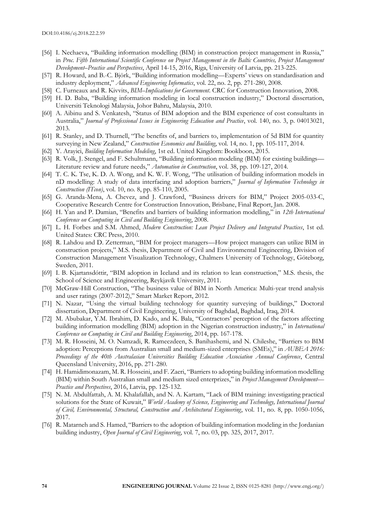- [56] I. Nechaeva, "Building information modelling (BIM) in construction project management in Russia," in *Proc. Fifth International Scientific Conference on Project Management in the Baltic Countries, Project Management Development–Practice and Perspectives*, April 14-15, 2016, Riga, University of Latvia, pp. 213-225.
- [57] R. Howard, and B.-C. Björk, "Building information modelling—Experts' views on standardisation and industry deployment," *Advanced Engineering Informatics*, vol. 22, no. 2, pp. 271-280, 2008.
- [58] C. Furneaux and R. Kivvits, *BIM–Implications for Government*. CRC for Construction Innovation, 2008.
- [59] H. D. Baba, "Building information modeling in local construction industry," Doctoral dissertation, Universiti Teknologi Malaysia, Johor Bahru, Malaysia, 2010.
- [60] A. Aibinu and S. Venkatesh, "Status of BIM adoption and the BIM experience of cost consultants in Australia," *Journal of Professional Issues in Engineering Education and Practice*, vol. 140, no. 3, p. 04013021, 2013.
- [61] R. Stanley, and D. Thurnell, "The benefits of, and barriers to, implementation of 5d BIM for quantity surveying in New Zealand," *Construction Economics and Building*, vol. 14, no. 1, pp. 105-117, 2014.
- [62] Y. Arayici, *Building Information Modeling*, 1st ed. United Kingdom: Bookboon, 2015.
- [63] R. Volk, J. Stengel, and F. Schultmann, "Building information modeling (BIM) for existing buildings— Literature review and future needs," *Automation in Construction*, vol. 38, pp. 109-127, 2014.
- [64] T. C. K. Tse, K. D. A. Wong, and K. W. F. Wong, "The utilisation of building information models in nD modelling: A study of data interfacing and adoption barriers," *Journal of Information Technology in Construction (ITcon)*, vol. 10, no. 8, pp. 85-110, 2005.
- [65] G. Aranda-Mena, A. Chevez, and J. Crawford, "Business drivers for BIM," Project 2005-033-C, Cooperative Research Centre for Construction Innovation, Brisbane, Final Report, Jan. 2008.
- [66] H. Yan and P. Damian, "Benefits and barriers of building information modelling," in *12th International Conference on Computing in Civil and Building Engineering*, 2008.
- [67] L. H. Forbes and S.M. Ahmed, *Modern Construction: Lean Project Delivery and Integrated Practices*, 1st ed. United States: CRC Press, 2010.
- [68] R. Lahdou and D. Zetterman, "BIM for project managers—How project managers can utilize BIM in construction projects," M.S. thesis, Department of Civil and Environmental Engineering, Division of Construction Management Visualization Technology, Chalmers University of Technology, Göteborg, Sweden, 2011.
- [69] I. B. Kjartansdóttir, "BIM adoption in Iceland and its relation to lean construction," M.S. thesis, the School of Science and Engineering, Reykjavík University, 2011.
- [70] McGraw-Hill Construction, "The business value of BIM in North America: Multi-year trend analysis and user ratings (2007-2012)," Smart Market Report, 2012.
- [71] N. Nazar, "Using the virtual building technology for quantity surveying of buildings," Doctoral dissertation, Department of Civil Engineering, University of Baghdad, Baghdad, Iraq, 2014.
- [72] M. Abubakar, Y.M. Ibrahim, D. Kado, and K. Bala, "Contractors' perception of the factors affecting building information modelling (BIM) adoption in the Nigerian construction industry," in *International Conference on Computing in Civil and Building Engineering*, 2014, pp. 167-178.
- [73] M. R. Hosseini, M. O. Namzadi, R. Rameezdeen, S. Banihashemi, and N. Chileshe, "Barriers to BIM adoption: Perceptions from Australian small and medium-sized enterprises (SMEs)," in *AUBEA 2016: Proceedings of the 40th Australasian Universities Building Education Association Annual Conference*, Central Queensland University, 2016, pp. 271-280.
- [74] H. Hamidimonazam, M. R. Hosseini, and F. Zaeri, "Barriers to adopting building information modelling (BIM) within South Australian small and medium sized enterprizes," in *Project Management Development— Practice and Perspectives*, 2016, Latvia, pp. 125-132.
- [75] N. M. Abdulfattah, A. M. Khalafallah, and N. A. Kartam, "Lack of BIM training: investigating practical solutions for the State of Kuwait," *World Academy of Science, Engineering and Technology, International Journal of Civil, Environmental, Structural, Construction and Architectural Engineering*, vol. 11, no. 8, pp. 1050-1056, 2017.
- [76] R. Matarneh and S. Hamed, "Barriers to the adoption of building information modeling in the Jordanian building industry, *Open Journal of Civil Engineering*, vol. 7, no. 03, pp. 325, 2017, 2017.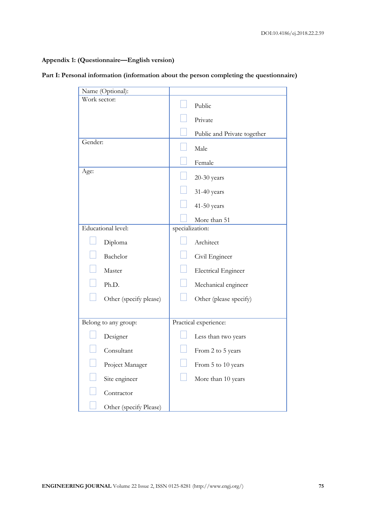# **Appendix 1: (Questionnaire—English version)**

|  |  |  |  |  |  |  |  |  | Part I: Personal information (information about the person completing the questionnaire) |  |
|--|--|--|--|--|--|--|--|--|------------------------------------------------------------------------------------------|--|
|--|--|--|--|--|--|--|--|--|------------------------------------------------------------------------------------------|--|

| Name (Optional):       |                             |
|------------------------|-----------------------------|
| Work sector:           | Public                      |
|                        | Private                     |
|                        | Public and Private together |
| Gender:                | Male                        |
|                        | Female                      |
| Age:                   | $20-30$ years               |
|                        | 31-40 years                 |
|                        | 41-50 years                 |
|                        | More than 51                |
| Educational level:     | specialization:             |
| Diploma                | Architect                   |
| Bachelor               | Civil Engineer              |
| Master                 | <b>Electrical Engineer</b>  |
| Ph.D.                  | Mechanical engineer         |
| Other (specify please) | Other (please specify)      |
|                        |                             |
| Belong to any group:   | Practical experience:       |
| Designer               | Less than two years         |
| Consultant             | From 2 to 5 years           |
| Project Manager        | From 5 to 10 years          |
| Site engineer          | More than 10 years          |
| Contractor             |                             |
| Other (specify Please) |                             |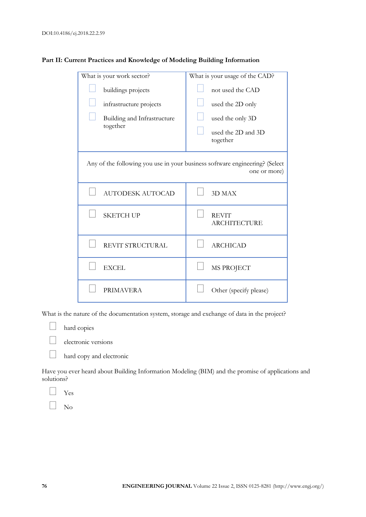| What is your work sector?                                                                   | What is your usage of the CAD?      |  |  |  |
|---------------------------------------------------------------------------------------------|-------------------------------------|--|--|--|
| buildings projects                                                                          | not used the CAD                    |  |  |  |
| infrastructure projects                                                                     | used the 2D only                    |  |  |  |
| Building and Infrastructure                                                                 | used the only 3D                    |  |  |  |
| together                                                                                    | used the 2D and 3D<br>together      |  |  |  |
| Any of the following you use in your business software engineering? (Select<br>one or more) |                                     |  |  |  |
| <b>AUTODESK AUTOCAD</b>                                                                     | 3D MAX                              |  |  |  |
| <b>SKETCH UP</b>                                                                            | <b>REVIT</b><br><b>ARCHITECTURE</b> |  |  |  |
| REVIT STRUCTURAL                                                                            | <b>ARCHICAD</b>                     |  |  |  |
| <b>EXCEL</b>                                                                                | MS PROJECT                          |  |  |  |
| <b>PRIMAVERA</b>                                                                            | Other (specify please)              |  |  |  |

# Part II: Current Practices and Knowledge of Modeling Building Information

What is the nature of the documentation system, storage and exchange of data in the project?



electronic versions

**hard copy and electronic** 

Have you ever heard about Building Information Modeling (BIM) and the promise of applications and solutions?

Yes

No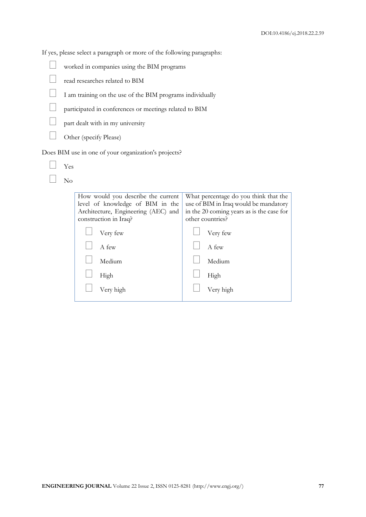If yes, please select a paragraph or more of the following paragraphs:

| worked in companies using the BIM programs |  |  |
|--------------------------------------------|--|--|
|                                            |  |  |
|                                            |  |  |

- read researches related to BIM
- I am training on the use of the BIM programs individually
- participated in conferences or meetings related to BIM
- part dealt with in my university
- $\Box$  Other (specify Please)

Does BIM use in one of your organization's projects?

| Yes |  |
|-----|--|
| C.  |  |

| How would you describe the current<br>level of knowledge of BIM in the<br>Architecture, Engineering (AEC) and | What percentage do you think that the<br>use of BIM in Iraq would be mandatory<br>in the 20 coming years as is the case for |  |  |
|---------------------------------------------------------------------------------------------------------------|-----------------------------------------------------------------------------------------------------------------------------|--|--|
| construction in Iraq?                                                                                         | other countries?                                                                                                            |  |  |
| Very few                                                                                                      | Very few                                                                                                                    |  |  |
| A few                                                                                                         | A few                                                                                                                       |  |  |
| Medium                                                                                                        | Medium                                                                                                                      |  |  |
| High                                                                                                          | High                                                                                                                        |  |  |
| Very high                                                                                                     | Very high                                                                                                                   |  |  |
|                                                                                                               |                                                                                                                             |  |  |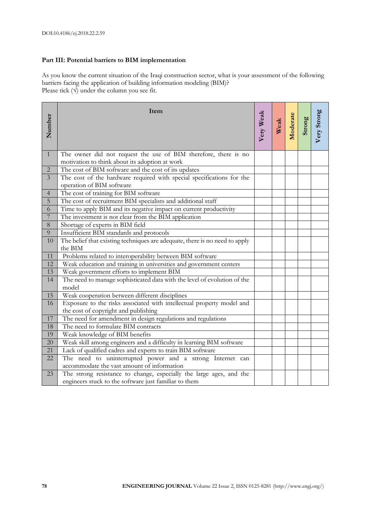# **Part III: Potential barriers to BIM implementation**

As you know the current situation of the Iraqi construction sector, what is your assessment of the following barriers facing the application of building information modeling (BIM)? Please tick  $(\sqrt{\ }$  under the column you see fit.

| Number              | Item                                                                                                                         | Very Weak | Weak<br>Moderate<br>Strong<br>Very Strong |  |  |
|---------------------|------------------------------------------------------------------------------------------------------------------------------|-----------|-------------------------------------------|--|--|
|                     |                                                                                                                              |           |                                           |  |  |
| $\mathbf{1}$        | The owner did not request the use of BIM therefore, there is no                                                              |           |                                           |  |  |
|                     | motivation to think about its adoption at work                                                                               |           |                                           |  |  |
| $\overline{2}$      | The cost of BIM software and the cost of its updates                                                                         |           |                                           |  |  |
| $\overline{3}$      | The cost of the hardware required with special specifications for the                                                        |           |                                           |  |  |
|                     | operation of BIM software                                                                                                    |           |                                           |  |  |
| $\overline{4}$      | The cost of training for BIM software                                                                                        |           |                                           |  |  |
| 5                   | The cost of recruitment BIM specialists and additional staff                                                                 |           |                                           |  |  |
| 6<br>$\overline{7}$ | Time to apply BIM and its negative impact on current productivity                                                            |           |                                           |  |  |
|                     | The investment is not clear from the BIM application                                                                         |           |                                           |  |  |
| $8\,$               | Shortage of experts in BIM field                                                                                             |           |                                           |  |  |
| 9                   | Insufficient BIM standards and protocols                                                                                     |           |                                           |  |  |
| 10                  | The belief that existing techniques are adequate, there is no need to apply<br>the BIM                                       |           |                                           |  |  |
| 11                  | Problems related to interoperability between BIM software                                                                    |           |                                           |  |  |
| 12                  | Weak education and training in universities and government centers                                                           |           |                                           |  |  |
| 13                  | Weak government efforts to implement BIM                                                                                     |           |                                           |  |  |
| 14                  | The need to manage sophisticated data with the level of evolution of the<br>model                                            |           |                                           |  |  |
| 15                  | Weak cooperation between different disciplines                                                                               |           |                                           |  |  |
| 16                  | Exposure to the risks associated with intellectual property model and                                                        |           |                                           |  |  |
|                     | the cost of copyright and publishing                                                                                         |           |                                           |  |  |
| 17                  | The need for amendment in design regulations and regulations                                                                 |           |                                           |  |  |
| 18                  | The need to formulate BIM contracts                                                                                          |           |                                           |  |  |
| 19                  | Weak knowledge of BIM benefits                                                                                               |           |                                           |  |  |
| 20                  | Weak skill among engineers and a difficulty in learning BIM software                                                         |           |                                           |  |  |
| 21                  | Lack of qualified cadres and experts to train BIM software                                                                   |           |                                           |  |  |
| 22                  | The need to uninterrupted power and a strong Internet can                                                                    |           |                                           |  |  |
|                     | accommodate the vast amount of information                                                                                   |           |                                           |  |  |
| 23                  | The strong resistance to change, especially the large ages, and the<br>engineers stuck to the software just familiar to them |           |                                           |  |  |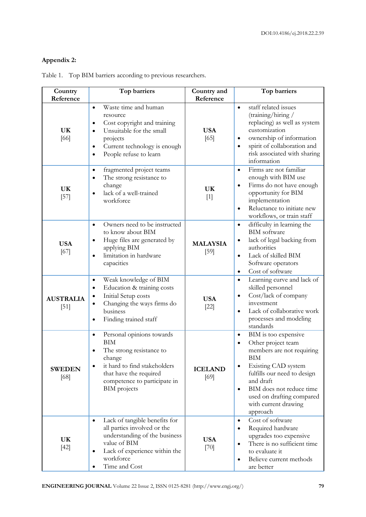# **Appendix 2:**

| Country<br>Reference       | Top barriers                                                                                                                                                                                                                       | Country and<br>Reference  | Top barriers                                                                                                                                                                                                                                                                                               |
|----------------------------|------------------------------------------------------------------------------------------------------------------------------------------------------------------------------------------------------------------------------------|---------------------------|------------------------------------------------------------------------------------------------------------------------------------------------------------------------------------------------------------------------------------------------------------------------------------------------------------|
| <b>UK</b><br>[66]          | Waste time and human<br>$\bullet$<br>resource<br>Cost copyright and training<br>$\bullet$<br>Unsuitable for the small<br>$\bullet$<br>projects<br>Current technology is enough<br>$\bullet$<br>People refuse to learn<br>$\bullet$ | <b>USA</b><br>[65]        | staff related issues<br>$\bullet$<br>(training/hiring/<br>replacing) as well as system<br>customization<br>ownership of information<br>$\bullet$<br>spirit of collaboration and<br>$\bullet$<br>risk associated with sharing<br>information                                                                |
| <b>UK</b><br>$[57]$        | fragmented project teams<br>$\bullet$<br>The strong resistance to<br>change<br>lack of a well-trained<br>$\bullet$<br>workforce                                                                                                    | <b>UK</b><br>$[1]$        | Firms are not familiar<br>$\bullet$<br>enough with BIM use<br>Firms do not have enough<br>$\bullet$<br>opportunity for BIM<br>implementation<br>Reluctance to initiate new<br>$\bullet$<br>workflows, or train staff                                                                                       |
| <b>USA</b><br>[67]         | Owners need to be instructed<br>$\bullet$<br>to know about BIM<br>Huge files are generated by<br>applying BIM<br>limitation in hardware<br>$\bullet$<br>capacities                                                                 | <b>MALAYSIA</b><br>$[59]$ | difficulty in learning the<br>$\bullet$<br><b>BIM</b> software<br>lack of legal backing from<br>$\bullet$<br>authorities<br>Lack of skilled BIM<br>$\bullet$<br>Software operators<br>Cost of software<br>$\bullet$                                                                                        |
| <b>AUSTRALIA</b><br>$[51]$ | Weak knowledge of BIM<br>$\bullet$<br>Education & training costs<br>$\bullet$<br>Initial Setup costs<br>$\bullet$<br>Changing the ways firms do<br>business<br>Finding trained staff<br>$\bullet$                                  | <b>USA</b><br>$[22]$      | Learning curve and lack of<br>$\bullet$<br>skilled personnel<br>Cost/lack of company<br>$\bullet$<br>investment<br>Lack of collaborative work<br>$\bullet$<br>processes and modeling<br>standards                                                                                                          |
| <b>SWEDEN</b><br>[68]      | Personal opinions towards<br>$\bullet$<br><b>BIM</b><br>The strong resistance to<br>change<br>it hard to find stakeholders<br>that have the required<br>competence to participate in<br><b>BIM</b> projects                        | <b>ICELAND</b><br>[69]    | BIM is too expensive<br>$\bullet$<br>Other project team<br>$\bullet$<br>members are not requiring<br>${\rm BIM}$<br>Existing CAD system<br>$\bullet$<br>fulfills our need to design<br>and draft<br>BIM does not reduce time<br>$\bullet$<br>used on drafting compared<br>with current drawing<br>approach |
| UK<br>$[42]$               | Lack of tangible benefits for<br>$\bullet$<br>all parties involved or the<br>understanding of the business<br>value of BIM<br>Lack of experience within the<br>٠<br>workforce<br>Time and Cost                                     | <b>USA</b><br>$[70]$      | Cost of software<br>$\bullet$<br>Required hardware<br>$\bullet$<br>upgrades too expensive<br>There is no sufficient time<br>$\bullet$<br>to evaluate it<br>Believe current methods<br>$\bullet$<br>are better                                                                                              |

Table 1. Top BIM barriers according to previous researchers.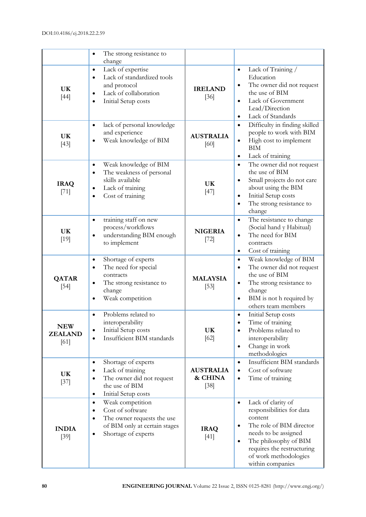|                                      | The strong resistance to<br>$\bullet$<br>change                                                                                                                                |                                       |                                                                                                                                                                                                                                                           |
|--------------------------------------|--------------------------------------------------------------------------------------------------------------------------------------------------------------------------------|---------------------------------------|-----------------------------------------------------------------------------------------------------------------------------------------------------------------------------------------------------------------------------------------------------------|
| <b>UK</b><br>$[44]$                  | Lack of expertise<br>$\bullet$<br>Lack of standardized tools<br>$\bullet$<br>and protocol<br>Lack of collaboration<br>$\bullet$<br>Initial Setup costs<br>$\bullet$            | <b>IRELAND</b><br>$[36]$              | Lack of Training /<br>$\bullet$<br>Education<br>The owner did not request<br>$\bullet$<br>the use of BIM<br>Lack of Government<br>$\bullet$<br>Lead/Direction<br>Lack of Standards<br>$\bullet$                                                           |
| <b>UK</b><br>$[43]$                  | lack of personal knowledge<br>$\bullet$<br>and experience<br>Weak knowledge of BIM<br>$\bullet$                                                                                | <b>AUSTRALIA</b><br>[60]              | Difficulty in finding skilled<br>$\bullet$<br>people to work with BIM<br>High cost to implement<br>$\bullet$<br>BIM<br>Lack of training<br>$\bullet$                                                                                                      |
| <b>IRAQ</b><br>$[71]$                | Weak knowledge of BIM<br>$\bullet$<br>The weakness of personal<br>$\bullet$<br>skills available<br>Lack of training<br>$\bullet$<br>Cost of training<br>$\bullet$              | UK<br>$[47]$                          | The owner did not request<br>$\bullet$<br>the use of BIM<br>Small projects do not care<br>$\bullet$<br>about using the BIM<br>Initial Setup costs<br>$\bullet$<br>The strong resistance to<br>$\bullet$<br>change                                         |
| <b>UK</b><br>$[19]$                  | training staff on new<br>$\bullet$<br>process/workflows<br>understanding BIM enough<br>$\bullet$<br>to implement                                                               | <b>NIGERIA</b><br>$[72]$              | The resistance to change<br>$\bullet$<br>(Social hand y Habitual)<br>The need for BIM<br>contracts<br>Cost of training<br>$\bullet$                                                                                                                       |
| <b>QATAR</b><br>$[54]$               | Shortage of experts<br>$\bullet$<br>The need for special<br>$\bullet$<br>contracts<br>The strong resistance to<br>$\bullet$<br>change<br>Weak competition                      | <b>MALAYSIA</b><br>$[53]$             | Weak knowledge of BIM<br>$\bullet$<br>The owner did not request<br>$\bullet$<br>the use of BIM<br>The strong resistance to<br>$\bullet$<br>change<br>BIM is not h required by<br>$\bullet$<br>others team members                                         |
| <b>NEW</b><br><b>ZEALAND</b><br>[61] | Problems related to<br>$\bullet$<br>interoperability<br>Initial Setup costs<br>٠<br>Insufficient BIM standards<br>$\bullet$                                                    | <b>UK</b><br>[62]                     | Initial Setup costs<br>$\bullet$<br>Time of training<br>Problems related to<br>interoperability<br>Change in work<br>$\bullet$<br>methodologies                                                                                                           |
| <b>UK</b><br>$[37]$                  | Shortage of experts<br>$\bullet$<br>Lack of training<br>$\bullet$<br>The owner did not request<br>$\bullet$<br>the use of BIM<br>Initial Setup costs<br>$\bullet$              | <b>AUSTRALIA</b><br>& CHINA<br>$[38]$ | Insufficient BIM standards<br>$\bullet$<br>Cost of software<br>$\bullet$<br>Time of training<br>$\bullet$                                                                                                                                                 |
| <b>INDIA</b><br>[39]                 | Weak competition<br>$\bullet$<br>Cost of software<br>$\bullet$<br>The owner requests the use<br>$\bullet$<br>of BIM only at certain stages<br>Shortage of experts<br>$\bullet$ | <b>IRAQ</b><br>$[41]$                 | Lack of clarity of<br>$\bullet$<br>responsibilities for data<br>content<br>The role of BIM director<br>$\bullet$<br>needs to be assigned<br>The philosophy of BIM<br>$\bullet$<br>requires the restructuring<br>of work methodologies<br>within companies |